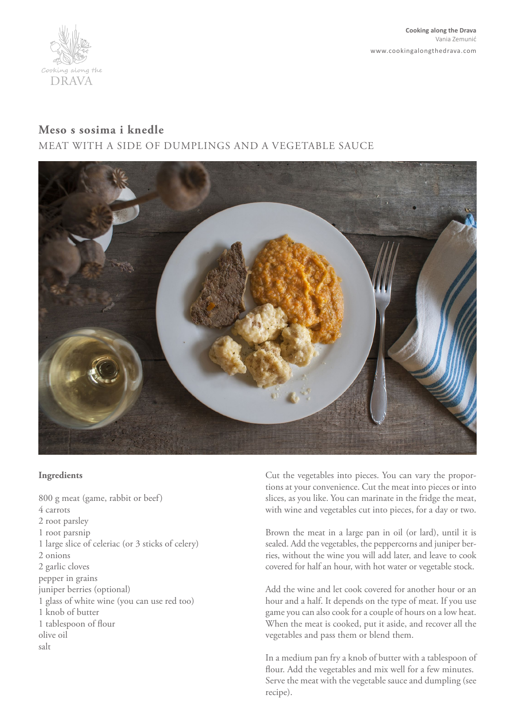

## **Meso s sosima i knedle**

MEAT WITH A SIDE OF DUMPLINGS AND A VEGETABLE SAUCE



## **Ingredients**

800 g meat (game, rabbit or beef) 4 carrots 2 root parsley 1 root parsnip 1 large slice of celeriac (or 3 sticks of celery) 2 onions 2 garlic cloves pepper in grains juniper berries (optional) 1 glass of white wine (you can use red too) 1 knob of butter 1 tablespoon of flour olive oil salt

Cut the vegetables into pieces. You can vary the proportions at your convenience. Cut the meat into pieces or into slices, as you like. You can marinate in the fridge the meat, with wine and vegetables cut into pieces, for a day or two.

Brown the meat in a large pan in oil (or lard), until it is sealed. Add the vegetables, the peppercorns and juniper berries, without the wine you will add later, and leave to cook covered for half an hour, with hot water or vegetable stock.

Add the wine and let cook covered for another hour or an hour and a half. It depends on the type of meat. If you use game you can also cook for a couple of hours on a low heat. When the meat is cooked, put it aside, and recover all the vegetables and pass them or blend them.

In a medium pan fry a knob of butter with a tablespoon of flour. Add the vegetables and mix well for a few minutes. Serve the meat with the vegetable sauce and dumpling (see recipe).